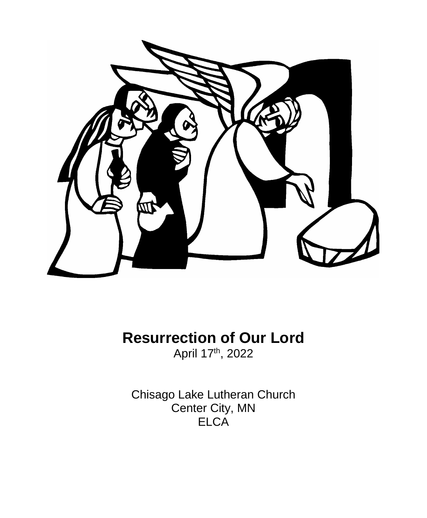

**Resurrection of Our Lord** April 17<sup>th</sup>, 2022

Chisago Lake Lutheran Church Center City, MN **ELCA**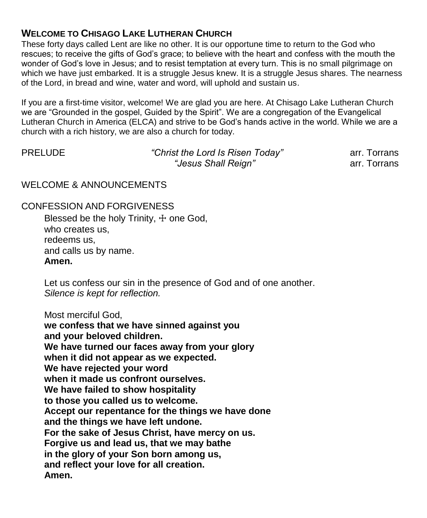# **WELCOME TO CHISAGO LAKE LUTHERAN CHURCH**

These forty days called Lent are like no other. It is our opportune time to return to the God who rescues; to receive the gifts of God's grace; to believe with the heart and confess with the mouth the wonder of God's love in Jesus; and to resist temptation at every turn. This is no small pilgrimage on which we have just embarked. It is a struggle Jesus knew. It is a struggle Jesus shares. The nearness of the Lord, in bread and wine, water and word, will uphold and sustain us.

If you are a first-time visitor, welcome! We are glad you are here. At Chisago Lake Lutheran Church we are "Grounded in the gospel, Guided by the Spirit". We are a congregation of the Evangelical Lutheran Church in America (ELCA) and strive to be God's hands active in the world. While we are a church with a rich history, we are also a church for today.

| <b>PRELUDE</b> | "Christ the Lord Is Risen Today" | arr. Torrans |
|----------------|----------------------------------|--------------|
|                | "Jesus Shall Reign"              | arr. Torrans |

#### WELCOME & ANNOUNCEMENTS

CONFESSION AND FORGIVENESS

Blessed be the holy Trinity,  $+$  one God, who creates us, redeems us, and calls us by name. **Amen.**

Let us confess our sin in the presence of God and of one another. *Silence is kept for reflection.*

Most merciful God,

**we confess that we have sinned against you and your beloved children. We have turned our faces away from your glory when it did not appear as we expected. We have rejected your word when it made us confront ourselves. We have failed to show hospitality to those you called us to welcome. Accept our repentance for the things we have done and the things we have left undone. For the sake of Jesus Christ, have mercy on us. Forgive us and lead us, that we may bathe in the glory of your Son born among us, and reflect your love for all creation. Amen.**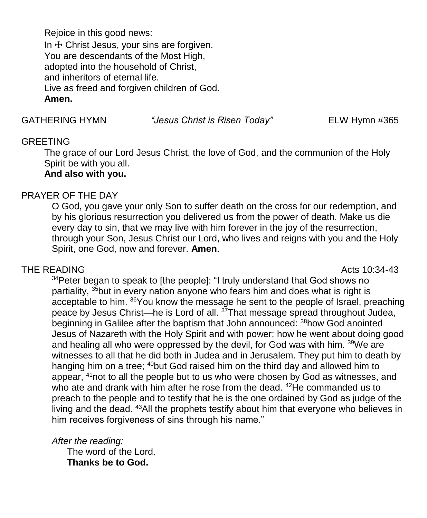Rejoice in this good news: In  $+$  Christ Jesus, your sins are forgiven. You are descendants of the Most High, adopted into the household of Christ, and inheritors of eternal life. Live as freed and forgiven children of God. **Amen.**

GATHERING HYMN *"Jesus Christ is Risen Today"* ELW Hymn #365

#### **GREETING**

The grace of our Lord Jesus Christ, the love of God, and the communion of the Holy Spirit be with you all.

## **And also with you.**

#### PRAYER OF THE DAY

O God, you gave your only Son to suffer death on the cross for our redemption, and by his glorious resurrection you delivered us from the power of death. Make us die every day to sin, that we may live with him forever in the joy of the resurrection, through your Son, Jesus Christ our Lord, who lives and reigns with you and the Holy Spirit, one God, now and forever. **Amen**.

#### THE READING **Acts** 10:34-43

<sup>34</sup> Peter began to speak to [the people]: "I truly understand that God shows no partiality, <sup>35</sup>but in every nation anyone who fears him and does what is right is acceptable to him. <sup>36</sup>You know the message he sent to the people of Israel, preaching peace by Jesus Christ—he is Lord of all. <sup>37</sup>That message spread throughout Judea, beginning in Galilee after the baptism that John announced: <sup>38</sup>how God anointed Jesus of Nazareth with the Holy Spirit and with power; how he went about doing good and healing all who were oppressed by the devil, for God was with him. <sup>39</sup>We are witnesses to all that he did both in Judea and in Jerusalem. They put him to death by hanging him on a tree; <sup>40</sup>but God raised him on the third day and allowed him to appear, <sup>41</sup>not to all the people but to us who were chosen by God as witnesses, and who ate and drank with him after he rose from the dead. <sup>42</sup>He commanded us to preach to the people and to testify that he is the one ordained by God as judge of the living and the dead. <sup>43</sup>All the prophets testify about him that everyone who believes in him receives forgiveness of sins through his name."

*After the reading:*

The word of the Lord. **Thanks be to God.**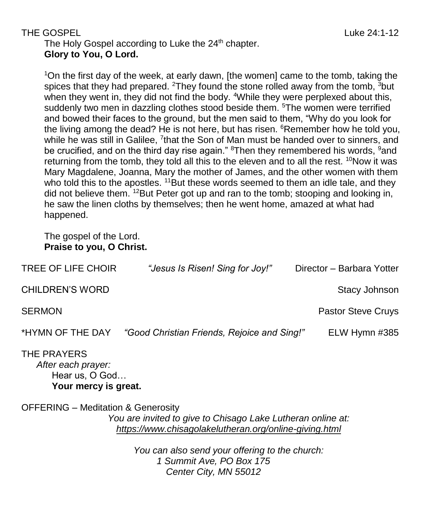# THE GOSPEL And the control of the control of the control of the control of the control of the control of the control of the control of the control of the control of the control of the control of the control of the control The Holy Gospel according to Luke the 24<sup>th</sup> chapter.

**Glory to You, O Lord.**

<sup>1</sup>On the first day of the week, at early dawn, [the women] came to the tomb, taking the spices that they had prepared. <sup>2</sup>They found the stone rolled away from the tomb,  $3$ but when they went in, they did not find the body. <sup>4</sup>While they were perplexed about this, suddenly two men in dazzling clothes stood beside them. <sup>5</sup>The women were terrified and bowed their faces to the ground, but the men said to them, "Why do you look for the living among the dead? He is not here, but has risen. <sup>6</sup>Remember how he told you, while he was still in Galilee, <sup>7</sup>that the Son of Man must be handed over to sinners, and be crucified, and on the third day rise again." <sup>8</sup>Then they remembered his words, <sup>9</sup>and returning from the tomb, they told all this to the eleven and to all the rest.  $10N$ ow it was Mary Magdalene, Joanna, Mary the mother of James, and the other women with them who told this to the apostles.  $11$ But these words seemed to them an idle tale, and they did not believe them.  $12$ But Peter got up and ran to the tomb; stooping and looking in, he saw the linen cloths by themselves; then he went home, amazed at what had happened.

The gospel of the Lord. **Praise to you, O Christ.**

**Your mercy is great.**

| TREE OF LIFE CHOIR                                  | "Jesus Is Risen! Sing for Joy!"             | Director - Barbara Yotter |
|-----------------------------------------------------|---------------------------------------------|---------------------------|
| <b>CHILDREN'S WORD</b>                              |                                             | Stacy Johnson             |
| <b>SERMON</b>                                       |                                             | <b>Pastor Steve Cruys</b> |
| *HYMN OF THE DAY                                    | "Good Christian Friends, Rejoice and Sing!" | ELW Hymn #385             |
| THE PRAYERS<br>After each prayer:<br>Hear us, O God |                                             |                           |

OFFERING – Meditation & Generosity *You are invited to give to Chisago Lake Lutheran online at: <https://www.chisagolakelutheran.org/online-giving.html>*

> *You can also send your offering to the church: 1 Summit Ave, PO Box 175 Center City, MN 55012*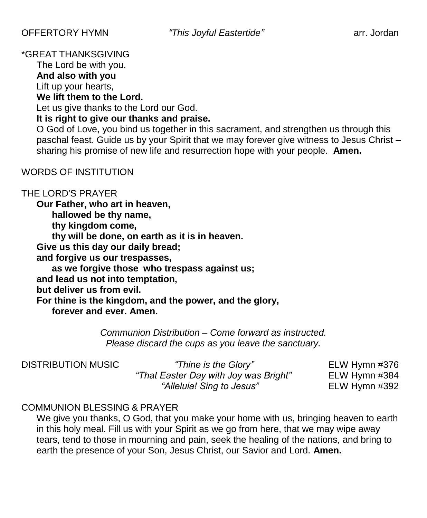## \*GREAT THANKSGIVING

The Lord be with you.

**And also with you** Lift up your hearts,

#### **We lift them to the Lord.**

Let us give thanks to the Lord our God.

## **It is right to give our thanks and praise.**

O God of Love, you bind us together in this sacrament, and strengthen us through this paschal feast. Guide us by your Spirit that we may forever give witness to Jesus Christ – sharing his promise of new life and resurrection hope with your people. **Amen.**

## WORDS OF INSTITUTION

## THE LORD'S PRAYER

**Our Father, who art in heaven, hallowed be thy name, thy kingdom come, thy will be done, on earth as it is in heaven. Give us this day our daily bread; and forgive us our trespasses, as we forgive those who trespass against us; and lead us not into temptation, but deliver us from evil. For thine is the kingdom, and the power, and the glory, forever and ever. Amen.**

> *Communion Distribution – Come forward as instructed. Please discard the cups as you leave the sanctuary.*

DISTRIBUTION MUSIC *"Thine is the Glory"* ELW Hymn #376 *"That Easter Day with Joy was Bright"* ELW Hymn #384 *"Alleluia! Sing to Jesus"* ELW Hymn #392

# COMMUNION BLESSING & PRAYER

We give you thanks, O God, that you make your home with us, bringing heaven to earth in this holy meal. Fill us with your Spirit as we go from here, that we may wipe away tears, tend to those in mourning and pain, seek the healing of the nations, and bring to earth the presence of your Son, Jesus Christ, our Savior and Lord. **Amen.**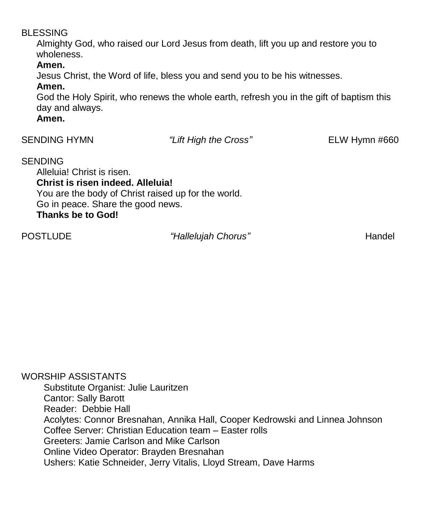#### BLESSING

Almighty God, who raised our Lord Jesus from death, lift you up and restore you to wholeness.

## **Amen.**

Jesus Christ, the Word of life, bless you and send you to be his witnesses.

#### **Amen.**

God the Holy Spirit, who renews the whole earth, refresh you in the gift of baptism this day and always.

## **Amen.**

| <b>SENDING HYMN</b>                                                                                                  | "Lift High the Cross"                               | ELW Hymn #660 |
|----------------------------------------------------------------------------------------------------------------------|-----------------------------------------------------|---------------|
| <b>SENDING</b><br>Alleluia! Christ is risen.<br>Christ is risen indeed. Alleluia!<br>Co in nogeo Sharo the good nowe | You are the body of Christ raised up for the world. |               |

Go in peace. Share the good news. **Thanks be to God!**

POSTLUDE *"Hallelujah Chorus"* POSTLUDE Handel

WORSHIP ASSISTANTS Substitute Organist: Julie Lauritzen Cantor: Sally Barott Reader: Debbie Hall Acolytes: Connor Bresnahan, Annika Hall, Cooper Kedrowski and Linnea Johnson Coffee Server: Christian Education team – Easter rolls Greeters: Jamie Carlson and Mike Carlson Online Video Operator: Brayden Bresnahan Ushers: Katie Schneider, Jerry Vitalis, Lloyd Stream, Dave Harms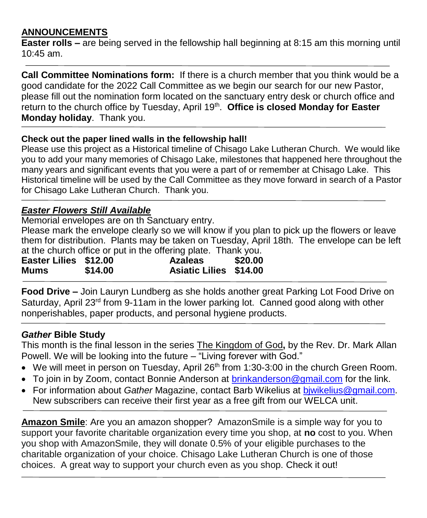# **ANNOUNCEMENTS**

**Easter rolls –** are being served in the fellowship hall beginning at 8:15 am this morning until  $10:45$  am.

**Call Committee Nominations form:** If there is a church member that you think would be a good candidate for the 2022 Call Committee as we begin our search for our new Pastor, please fill out the nomination form located on the sanctuary entry desk or church office and return to the church office by Tuesday, April 19<sup>th</sup>. Office is closed Monday for Easter **Monday holiday**. Thank you.

#### **Check out the paper lined walls in the fellowship hall!**

Please use this project as a Historical timeline of Chisago Lake Lutheran Church. We would like you to add your many memories of Chisago Lake, milestones that happened here throughout the many years and significant events that you were a part of or remember at Chisago Lake. This Historical timeline will be used by the Call Committee as they move forward in search of a Pastor for Chisago Lake Lutheran Church. Thank you.

#### *Easter Flowers Still Available*

Memorial envelopes are on th Sanctuary entry. Please mark the envelope clearly so we will know if you plan to pick up the flowers or leave them for distribution. Plants may be taken on Tuesday, April 18th. The envelope can be left at the church office or put in the offering plate. Thank you.

| Easter Lilies \$12.00 |         | <b>Azaleas</b>                | \$20.00 |
|-----------------------|---------|-------------------------------|---------|
| Mums                  | \$14.00 | <b>Asiatic Lilies \$14.00</b> |         |

**Food Drive –** Join Lauryn Lundberg as she holds another great Parking Lot Food Drive on Saturday, April 23<sup>rd</sup> from 9-11am in the lower parking lot. Canned good along with other nonperishables, paper products, and personal hygiene products.

## *Gather* **Bible Study**

This month is the final lesson in the series The Kingdom of God**,** by the Rev. Dr. Mark Allan Powell. We will be looking into the future – "Living forever with God."

- $\bullet$  We will meet in person on Tuesday, April 26<sup>th</sup> from 1:30-3:00 in the church Green Room.
- To join in by Zoom, contact Bonnie Anderson at [brinkanderson@gmail.com](mailto:brinkanderson@gmail.com) for the link.
- For information about *Gather* Magazine, contact Barb Wikelius at [bjwikelius@gmail.com.](mailto:bjwikelius@gmail.com) New subscribers can receive their first year as a free gift from our WELCA unit.

**Amazon Smile**: Are you an amazon shopper? AmazonSmile is a simple way for you to support your favorite charitable organization every time you shop, at **no** cost to you. When you shop with AmazonSmile, they will donate 0.5% of your eligible purchases to the charitable organization of your choice. Chisago Lake Lutheran Church is one of those choices. A great way to support your church even as you shop. Check it out!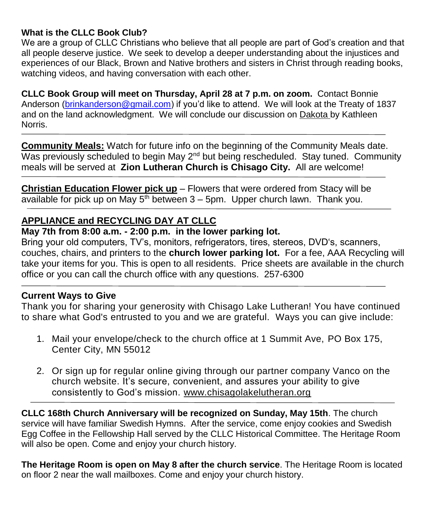## **What is the CLLC Book Club?**

We are a group of CLLC Christians who believe that all people are part of God's creation and that all people deserve justice. We seek to develop a deeper understanding about the injustices and experiences of our Black, Brown and Native brothers and sisters in Christ through reading books, watching videos, and having conversation with each other.

**CLLC Book Group will meet on Thursday, April 28 at 7 p.m. on zoom.** Contact Bonnie Anderson [\(brinkanderson@gmail.com\)](mailto:brinkanderson@gmail.com) if you'd like to attend. We will look at the Treaty of 1837 and on the land acknowledgment. We will conclude our discussion on Dakota by Kathleen Norris.

**Community Meals:** Watch for future info on the beginning of the Community Meals date. Was previously scheduled to begin May  $2<sup>nd</sup>$  but being rescheduled. Stay tuned. Community meals will be served at **Zion Lutheran Church is Chisago City.** All are welcome!

**Christian Education Flower pick up** – Flowers that were ordered from Stacy will be available for pick up on May  $5<sup>th</sup>$  between  $3 - 5$ pm. Upper church lawn. Thank you.

# **APPLIANCE and RECYCLING DAY AT CLLC**

#### **May 7th from 8:00 a.m. - 2:00 p.m. in the lower parking lot.**

Bring your old computers, TV's, monitors, refrigerators, tires, stereos, DVD's, scanners, couches, chairs, and printers to the **church lower parking lot.** For a fee, AAA Recycling will take your items for you. This is open to all residents. Price sheets are available in the church office or you can call the church office with any questions. 257-6300

## **Current Ways to Give**

Thank you for sharing your generosity with Chisago Lake Lutheran! You have continued to share what God's entrusted to you and we are grateful. Ways you can give include:

- 1. Mail your envelope/check to the church office at 1 Summit Ave, PO Box 175, Center City, MN 55012
- 2. Or sign up for regular online giving through our partner company Vanco on the church [website.](https://www.eservicepayments.com/cgi-bin/Vanco_ver3.vps?appver3=wWsk24ZWJSTZKsGd1RMKlg0BDvsSG3VIWQCPJNNxD8upkiY7JlDavDsozUE7KG0nFx2NSo8LdUKGuGuF396vbUm5LNljBPNnBOEFTzKhxx-XHubq5Z7ap5JVmPErc4ZeYHCKCZhESjGNQmZ5B-6dx3x8KCRzq4DlLabxS1KshoM=&ver=3) It's secure, convenient, and assures your ability to give consistently to God's mission. [www.chisagolakelutheran.org](http://www.chisagolakelutheran.org/)

**CLLC 168th Church Anniversary will be recognized on Sunday, May 15th**. The church service will have familiar Swedish Hymns. After the service, come enjoy cookies and Swedish Egg Coffee in the Fellowship Hall served by the CLLC Historical Committee. The Heritage Room will also be open. Come and enjoy your church history.

**The Heritage Room is open on May 8 after the church service**. The Heritage Room is located on floor 2 near the wall mailboxes. Come and enjoy your church history.